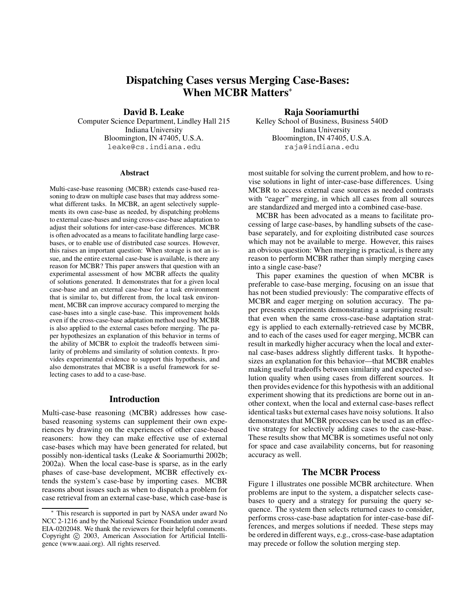# **Dispatching Cases versus Merging Case-Bases: When MCBR Matters**

**David B. Leake**

Computer Science Department, Lindley Hall 215 Indiana University Bloomington, IN 47405, U.S.A. leake@cs.indiana.edu

#### **Abstract**

Multi-case-base reasoning (MCBR) extends case-based reasoning to draw on multiple case bases that may address somewhat different tasks. In MCBR, an agent selectively supplements its own case-base as needed, by dispatching problems to external case-bases and using cross-case-base adaptation to adjust their solutions for inter-case-base differences. MCBR is often advocated as a means to facilitate handling large casebases, or to enable use of distributed case sources. However, this raises an important question: When storage is not an issue, and the entire external case-base is available, is there any reason for MCBR? This paper answers that question with an experimental assessment of how MCBR affects the quality of solutions generated. It demonstrates that for a given local case-base and an external case-base for a task environment that is similar to, but different from, the local task environment, MCBR can improve accuracy compared to merging the case-bases into a single case-base. This improvement holds even if the cross-case-base adaptation method used by MCBR is also applied to the external cases before merging. The paper hypothesizes an explanation of this behavior in terms of the ability of MCBR to exploit the tradeoffs between similarity of problems and similarity of solution contexts. It provides experimental evidence to support this hypothesis, and also demonstrates that MCBR is a useful framework for selecting cases to add to a case-base.

### **Introduction**

Multi-case-base reasoning (MCBR) addresses how casebased reasoning systems can supplement their own experiences by drawing on the experiences of other case-based reasoners: how they can make effective use of external case-bases which may have been generated for related, but possibly non-identical tasks (Leake & Sooriamurthi 2002b; 2002a). When the local case-base is sparse, as in the early phases of case-base development, MCBR effectively extends the system's case-base by importing cases. MCBR reasons about issues such as when to dispatch a problem for case retrieval from an external case-base, which case-base is

### **Raja Sooriamurthi**

Kelley School of Business, Business 540D Indiana University Bloomington, IN 47405, U.S.A. raja@indiana.edu

most suitable for solving the current problem, and how to revise solutions in light of inter-case-base differences. Using MCBR to access external case sources as needed contrasts with "eager" merging, in which all cases from all sources are standardized and merged into a combined case-base.

MCBR has been advocated as a means to facilitate processing of large case-bases, by handling subsets of the casebase separately, and for exploiting distributed case sources which may not be available to merge. However, this raises an obvious question: When merging is practical, is there any reason to perform MCBR rather than simply merging cases into a single case-base?

This paper examines the question of when MCBR is preferable to case-base merging, focusing on an issue that has not been studied previously: The comparative effects of MCBR and eager merging on solution accuracy. The paper presents experiments demonstrating a surprising result: that even when the same cross-case-base adaptation strategy is applied to each externally-retrieved case by MCBR, and to each of the cases used for eager merging, MCBR can result in markedly higher accuracy when the local and external case-bases address slightly different tasks. It hypothesizes an explanation for this behavior—that MCBR enables making useful tradeoffs between similarity and expected solution quality when using cases from different sources. It then provides evidence for this hypothesis with an additional experiment showing that its predictions are borne out in another context, when the local and external case-bases reflect identical tasks but external cases have noisy solutions. It also demonstrates that MCBR processes can be used as an effective strategy for selectively adding cases to the case-base. These results show that MCBR is sometimes useful not only for space and case availability concerns, but for reasoning accuracy as well.

### **The MCBR Process**

Figure 1 illustrates one possible MCBR architecture. When problems are input to the system, a dispatcher selects casebases to query and a strategy for pursuing the query sequence. The system then selects returned cases to consider, performs cross-case-base adaptation for inter-case-base differences, and merges solutions if needed. These steps may be ordered in different ways, e.g., cross-case-base adaptation may precede or follow the solution merging step.

This research is supported in part by NASA under award No NCC 2-1216 and by the National Science Foundation under award EIA-0202048. We thank the reviewers for their helpful comments. Copyright (c) 2003, American Association for Artificial Intelligence (www.aaai.org). All rights reserved.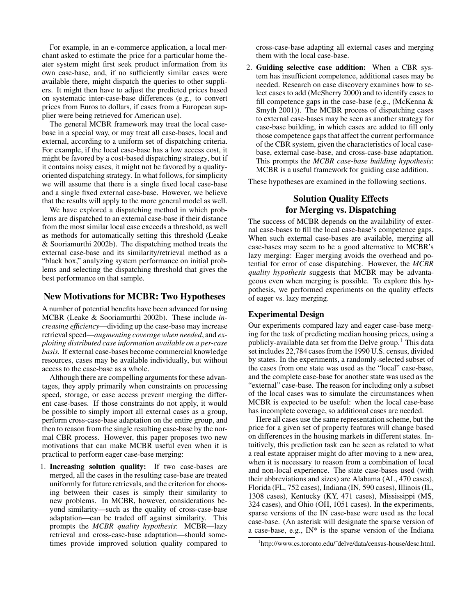For example, in an e-commerce application, a local merchant asked to estimate the price for a particular home theater system might first seek product information from its own case-base, and, if no sufficiently similar cases were available there, might dispatch the queries to other suppliers. It might then have to adjust the predicted prices based on systematic inter-case-base differences (e.g., to convert prices from Euros to dollars, if cases from a European supplier were being retrieved for American use).

The general MCBR framework may treat the local casebase in a special way, or may treat all case-bases, local and external, according to a uniform set of dispatching criteria. For example, if the local case-base has a low access cost, it might be favored by a cost-based dispatching strategy, but if it contains noisy cases, it might not be favored by a qualityoriented dispatching strategy. In what follows, for simplicity we will assume that there is a single fixed local case-base and a single fixed external case-base. However, we believe that the results will apply to the more general model as well.

We have explored a dispatching method in which problems are dispatched to an external case-base if their distance from the most similar local case exceeds a threshold, as well as methods for automatically setting this threshold (Leake & Sooriamurthi 2002b). The dispatching method treats the external case-base and its similarity/retrieval method as a "black box," analyzing system performance on initial problems and selecting the dispatching threshold that gives the best performance on that sample.

### **New Motivations for MCBR: Two Hypotheses**

A number of potential benefits have been advanced for using MCBR (Leake & Sooriamurthi 2002b). These include *increasing efficiency*—dividing up the case-base may increase retrieval speed—*augmenting coverage when needed*, and *exploiting distributed case information available on a per-case basis.* If external case-bases become commercial knowledge resources, cases may be available individually, but without access to the case-base as a whole.

Although there are compelling arguments for these advantages, they apply primarily when constraints on processing speed, storage, or case access prevent merging the different case-bases. If those constraints do not apply, it would be possible to simply import all external cases as a group, perform cross-case-base adaptation on the entire group, and then to reason from the single resulting case-base by the normal CBR process. However, this paper proposes two new motivations that can make MCBR useful even when it is practical to perform eager case-base merging:

1. **Increasing solution quality:** If two case-bases are merged, all the cases in the resulting case-base are treated uniformly for future retrievals, and the criterion for choosing between their cases is simply their similarity to new problems. In MCBR, however, considerations beyond similarity—such as the quality of cross-case-base adaptation—can be traded off against similarity. This prompts the *MCBR quality hypothesis*: MCBR—lazy retrieval and cross-case-base adaptation—should sometimes provide improved solution quality compared to cross-case-base adapting all external cases and merging them with the local case-base.

2. **Guiding selective case addition:** When a CBR system has insufficient competence, additional cases may be needed. Research on case discovery examines how to select cases to add (McSherry 2000) and to identify cases to fill competence gaps in the case-base (e.g., (McKenna & Smyth 2001)). The MCBR process of dispatching cases to external case-bases may be seen as another strategy for case-base building, in which cases are added to fill only those competence gaps that affect the current performance of the CBR system, given the characteristics of local casebase, external case-base, and cross-case-base adaptation. This prompts the *MCBR case-base building hypothesis*: MCBR is a useful framework for guiding case addition.

These hypotheses are examined in the following sections.

## **Solution Quality Effects for Merging vs. Dispatching**

The success of MCBR depends on the availability of external case-bases to fill the local case-base's competence gaps. When such external case-bases are available, merging all case-bases may seem to be a good alternative to MCBR's lazy merging: Eager merging avoids the overhead and potential for error of case dispatching. However, the *MCBR quality hypothesis* suggests that MCBR may be advantageous even when merging is possible. To explore this hypothesis, we performed experiments on the quality effects of eager vs. lazy merging.

### **Experimental Design**

Our experiments compared lazy and eager case-base merging for the task of predicting median housing prices, using a publicly-available data set from the Delve group.<sup>1</sup> This data set includes 22,784 cases from the 1990 U.S. census, divided by states. In the experiments, a randomly-selected subset of the cases from one state was used as the "local" case-base, and the complete case-base for another state was used as the "external" case-base. The reason for including only a subset of the local cases was to simulate the circumstances when MCBR is expected to be useful: when the local case-base has incomplete coverage, so additional cases are needed.

Here all cases use the same representation scheme, but the price for a given set of property features will change based on differences in the housing markets in different states. Intuitively, this prediction task can be seen as related to what a real estate appraiser might do after moving to a new area, when it is necessary to reason from a combination of local and non-local experience. The state case-bases used (with their abbreviations and sizes) are Alabama (AL, 470 cases), Florida (FL, 752 cases), Indiana (IN, 590 cases), Illinois (IL, 1308 cases), Kentucky (KY, 471 cases), Mississippi (MS, 324 cases), and Ohio (OH, 1051 cases). In the experiments, sparse versions of the IN case-base were used as the local case-base. (An asterisk will designate the sparse version of a case-base, e.g., IN\* is the sparse version of the Indiana

<sup>1</sup> http://www.cs.toronto.edu/˜delve/data/census-house/desc.html.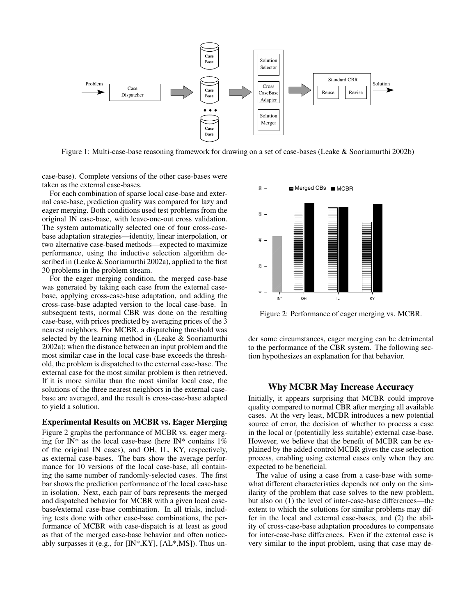

Figure 1: Multi-case-base reasoning framework for drawing on a set of case-bases (Leake & Sooriamurthi 2002b)

case-base). Complete versions of the other case-bases were taken as the external case-bases.

For each combination of sparse local case-base and external case-base, prediction quality was compared for lazy and eager merging. Both conditions used test problems from the original IN case-base, with leave-one-out cross validation. The system automatically selected one of four cross-casebase adaptation strategies—identity, linear interpolation, or two alternative case-based methods—expected to maximize performance, using the inductive selection algorithm described in (Leake & Sooriamurthi 2002a), applied to the first 30 problems in the problem stream.

For the eager merging condition, the merged case-base was generated by taking each case from the external casebase, applying cross-case-base adaptation, and adding the cross-case-base adapted version to the local case-base. In subsequent tests, normal CBR was done on the resulting case-base, with prices predicted by averaging prices of the 3 nearest neighbors. For MCBR, a dispatching threshold was selected by the learning method in (Leake & Sooriamurthi 2002a); when the distance between an input problem and the most similar case in the local case-base exceeds the threshold, the problem is dispatched to the external case-base. The external case for the most similar problem is then retrieved. If it is more similar than the most similar local case, the solutions of the three nearest neighbors in the external casebase are averaged, and the result is cross-case-base adapted to yield a solution.

#### **Experimental Results on MCBR vs. Eager Merging**

Figure 2 graphs the performance of MCBR vs. eager merging for IN\* as the local case-base (here IN\* contains  $1\%$ of the original IN cases), and OH, IL, KY, respectively, as external case-bases. The bars show the average performance for 10 versions of the local case-base, all containing the same number of randomly-selected cases. The first bar shows the prediction performance of the local case-base in isolation. Next, each pair of bars represents the merged and dispatched behavior for MCBR with a given local casebase/external case-base combination. In all trials, including tests done with other case-base combinations, the performance of MCBR with case-dispatch is at least as good as that of the merged case-base behavior and often noticeably surpasses it (e.g., for  $[IN^*, KY]$ ,  $[AL^*, MS]$ ). Thus un-



Figure 2: Performance of eager merging vs. MCBR.

der some circumstances, eager merging can be detrimental to the performance of the CBR system. The following section hypothesizes an explanation for that behavior.

### **Why MCBR May Increase Accuracy**

Initially, it appears surprising that MCBR could improve quality compared to normal CBR after merging all available cases. At the very least, MCBR introduces a new potential source of error, the decision of whether to process a case in the local or (potentially less suitable) external case-base. However, we believe that the benefit of MCBR can be explained by the added control MCBR gives the case selection process, enabling using external cases only when they are expected to be beneficial.

The value of using a case from a case-base with somewhat different characteristics depends not only on the similarity of the problem that case solves to the new problem, but also on (1) the level of inter-case-base differences—the extent to which the solutions for similar problems may differ in the local and external case-bases, and (2) the ability of cross-case-base adaptation procedures to compensate for inter-case-base differences. Even if the external case is very similar to the input problem, using that case may de-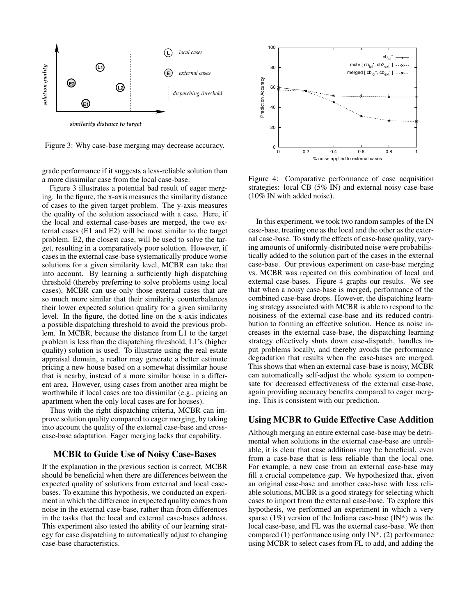

Figure 3: Why case-base merging may decrease accuracy.

grade performance if it suggests a less-reliable solution than a more dissimilar case from the local case-base.

Figure 3 illustrates a potential bad result of eager merging. In the figure, the x-axis measures the similarity distance of cases to the given target problem. The y-axis measures the quality of the solution associated with a case. Here, if the local and external case-bases are merged, the two external cases (E1 and E2) will be most similar to the target problem. E2, the closest case, will be used to solve the target, resulting in a comparatively poor solution. However, if cases in the external case-base systematically produce worse solutions for a given similarity level, MCBR can take that into account. By learning a sufficiently high dispatching threshold (thereby preferring to solve problems using local cases), MCBR can use only those external cases that are so much more similar that their similarity counterbalances their lower expected solution quality for a given similarity level. In the figure, the dotted line on the x-axis indicates a possible dispatching threshold to avoid the previous problem. In MCBR, because the distance from L1 to the target problem is less than the dispatching threshold, L1's (higher quality) solution is used. To illustrate using the real estate appraisal domain, a realtor may generate a better estimate pricing a new house based on a somewhat dissimilar house that is nearby, instead of a more similar house in a different area. However, using cases from another area might be worthwhile if local cases are too dissimilar (e.g., pricing an apartment when the only local cases are for houses).

Thus with the right dispatching criteria, MCBR can improve solution quality compared to eager merging, by taking into account the quality of the external case-base and crosscase-base adaptation. Eager merging lacks that capability.

### **MCBR to Guide Use of Noisy Case-Bases**

If the explanation in the previous section is correct, MCBR should be beneficial when there are differences between the expected quality of solutions from external and local casebases. To examine this hypothesis, we conducted an experiment in which the difference in expected quality comes from noise in the external case-base, rather than from differences in the tasks that the local and external case-bases address. This experiment also tested the ability of our learning strategy for case dispatching to automatically adjust to changing case-base characteristics.



Figure 4: Comparative performance of case acquisition strategies: local CB (5% IN) and external noisy case-base (10% IN with added noise).

In this experiment, we took two random samples of the IN case-base, treating one as the local and the other as the external case-base. To study the effects of case-base quality, varying amounts of uniformly-distributed noise were probabilistically added to the solution part of the cases in the external case-base. Our previous experiment on case-base merging vs. MCBR was repeated on this combination of local and external case-bases. Figure 4 graphs our results. We see that when a noisy case-base is merged, performance of the combined case-base drops. However, the dispatching learning strategy associated with MCBR is able to respond to the noisiness of the external case-base and its reduced contribution to forming an effective solution. Hence as noise increases in the external case-base, the dispatching learning strategy effectively shuts down case-dispatch, handles input problems locally, and thereby avoids the performance degradation that results when the case-bases are merged. This shows that when an external case-base is noisy, MCBR can automatically self-adjust the whole system to compensate for decreased effectiveness of the external case-base, again providing accuracy benefits compared to eager merging. This is consistent with our prediction.

### **Using MCBR to Guide Effective Case Addition**

Although merging an entire external case-base may be detrimental when solutions in the external case-base are unreliable, it is clear that case additions may be beneficial, even from a case-base that is less reliable than the local one. For example, a new case from an external case-base may fill a crucial competence gap. We hypothesized that, given an original case-base and another case-base with less reliable solutions, MCBR is a good strategy for selecting which cases to import from the external case-base. To explore this hypothesis, we performed an experiment in which a very sparse (1%) version of the Indiana case-base (IN\*) was the local case-base, and FL was the external case-base. We then compared (1) performance using only IN\*, (2) performance using MCBR to select cases from FL to add, and adding the